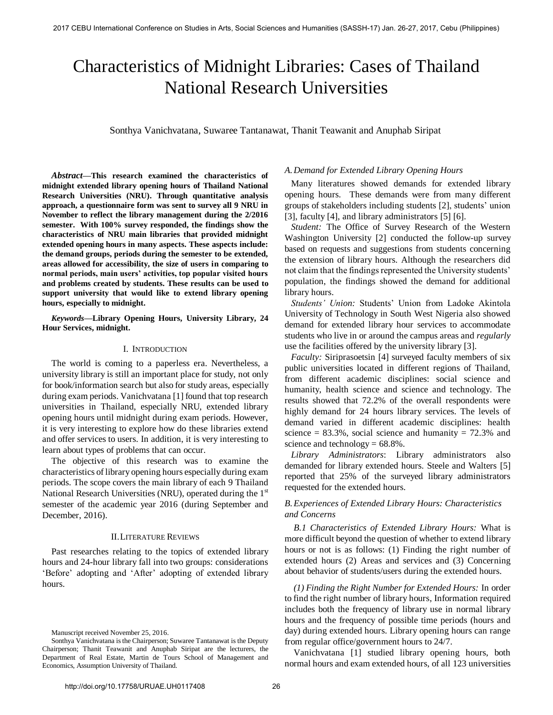# Characteristics of Midnight Libraries: Cases of Thailand National Research Universities

Sonthya Vanichvatana, Suwaree Tantanawat, Thanit Teawanit and Anuphab Siripat

*Abstract***—This research examined the characteristics of midnight extended library opening hours of Thailand National Research Universities (NRU). Through quantitative analysis approach, a questionnaire form was sent to survey all 9 NRU in November to reflect the library management during the 2/2016 semester. With 100% survey responded, the findings show the characteristics of NRU main libraries that provided midnight extended opening hours in many aspects. These aspects include: the demand groups, periods during the semester to be extended, areas allowed for accessibility, the size of users in comparing to normal periods, main users' activities, top popular visited hours and problems created by students. These results can be used to support university that would like to extend library opening hours, especially to midnight.** 

*Keywords***—Library Opening Hours, University Library, 24 Hour Services, midnight.**

#### I. INTRODUCTION

The world is coming to a paperless era. Nevertheless, a university library is still an important place for study, not only for book/information search but also for study areas, especially during exam periods. Vanichvatana [1] found that top research universities in Thailand, especially NRU, extended library opening hours until midnight during exam periods. However, it is very interesting to explore how do these libraries extend and offer services to users. In addition, it is very interesting to learn about types of problems that can occur.

The objective of this research was to examine the characteristics of library opening hours especially during exam periods. The scope covers the main library of each 9 Thailand National Research Universities (NRU), operated during the  $1<sup>st</sup>$ semester of the academic year 2016 (during September and December, 2016).

#### II.LITERATURE REVIEWS

Past researches relating to the topics of extended library hours and 24-hour library fall into two groups: considerations 'Before' adopting and 'After' adopting of extended library hours.

Manuscript received November 25, 2016.

#### *A.Demand for Extended Library Opening Hours*

Many literatures showed demands for extended library opening hours. These demands were from many different groups of stakeholders including students [2], students' union [3], faculty [4], and library administrators [5] [6].

*Student:* The Office of Survey Research of the Western Washington University [2] conducted the follow-up survey based on requests and suggestions from students concerning the extension of library hours. Although the researchers did not claim that the findings represented the University students' population, the findings showed the demand for additional library hours.

*Students' Union:* Students' Union from Ladoke Akintola University of Technology in South West Nigeria also showed demand for extended library hour services to accommodate students who live in or around the campus areas and *regularly* use the facilities offered by the university library [3].

*Faculty:* Siriprasoetsin [4] surveyed faculty members of six public universities located in different regions of Thailand, from different academic disciplines: social science and humanity, health science and science and technology. The results showed that 72.2% of the overall respondents were highly demand for 24 hours library services. The levels of demand varied in different academic disciplines: health science =  $83.3\%$ , social science and humanity =  $72.3\%$  and science and technology =  $68.8\%$ .

*Library Administrators*: Library administrators also demanded for library extended hours. Steele and Walters [5] reported that 25% of the surveyed library administrators requested for the extended hours.

## *B.Experiences of Extended Library Hours: Characteristics and Concerns*

*B.1 Characteristics of Extended Library Hours:* What is more difficult beyond the question of whether to extend library hours or not is as follows: (1) Finding the right number of extended hours (2) Areas and services and (3) Concerning about behavior of students/users during the extended hours.

*(1) Finding the Right Number for Extended Hours:* In order to find the right number of library hours, Information required includes both the frequency of library use in normal library hours and the frequency of possible time periods (hours and day) during extended hours. Library opening hours can range from regular office/government hours to 24/7.

Vanichvatana [1] studied library opening hours, both normal hours and exam extended hours, of all 123 universities

Sonthya Vanichvatana is the Chairperson; Suwaree Tantanawat is the Deputy Chairperson; Thanit Teawanit and Anuphab Siripat are the lecturers, the Department of Real Estate, Martin de Tours School of Management and Economics, Assumption University of Thailand.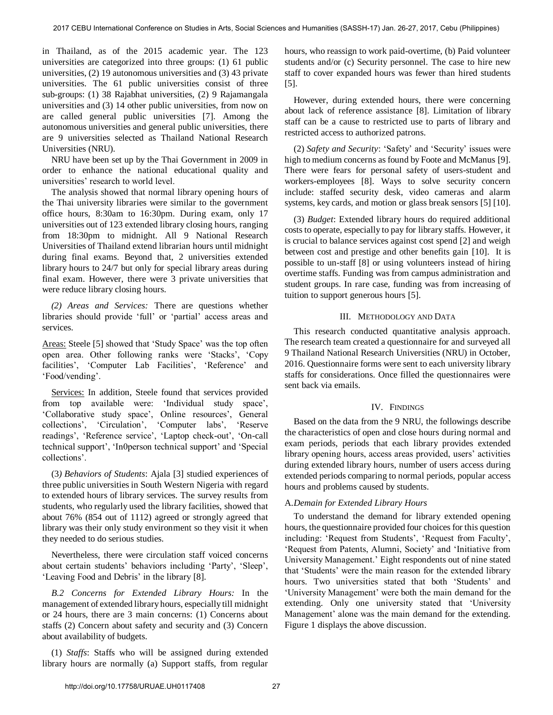in Thailand, as of the 2015 academic year. The 123 universities are categorized into three groups: (1) 61 public universities, (2) 19 autonomous universities and (3) 43 private universities. The 61 public universities consist of three sub-groups: (1) 38 Rajabhat universities, (2) 9 Rajamangala universities and (3) 14 other public universities, from now on are called general public universities [7]. Among the autonomous universities and general public universities, there are 9 universities selected as Thailand National Research Universities (NRU).

NRU have been set up by the Thai Government in 2009 in order to enhance the national educational quality and universities' research to world level.

The analysis showed that normal library opening hours of the Thai university libraries were similar to the government office hours, 8:30am to 16:30pm. During exam, only 17 universities out of 123 extended library closing hours, ranging from 18:30pm to midnight. All 9 National Research Universities of Thailand extend librarian hours until midnight during final exams. Beyond that, 2 universities extended library hours to 24/7 but only for special library areas during final exam. However, there were 3 private universities that were reduce library closing hours.

*(2) Areas and Services:* There are questions whether libraries should provide 'full' or 'partial' access areas and services.

Areas: Steele [5] showed that 'Study Space' was the top often open area. Other following ranks were 'Stacks', 'Copy facilities', 'Computer Lab Facilities', 'Reference' and 'Food/vending'.

Services: In addition, Steele found that services provided from top available were: 'Individual study space', 'Collaborative study space', Online resources', General collections', 'Circulation', 'Computer labs', 'Reserve readings', 'Reference service', 'Laptop check-out', 'On-call technical support', 'In0person technical support' and 'Special collections'.

(3*) Behaviors of Students*: Ajala [3] studied experiences of three public universities in South Western Nigeria with regard to extended hours of library services. The survey results from students, who regularly used the library facilities, showed that about 76% (854 out of 1112) agreed or strongly agreed that library was their only study environment so they visit it when they needed to do serious studies.

Nevertheless, there were circulation staff voiced concerns about certain students' behaviors including 'Party', 'Sleep', 'Leaving Food and Debris' in the library [8].

*B.2 Concerns for Extended Library Hours:* In the management of extended library hours, especially till midnight or 24 hours, there are 3 main concerns: (1) Concerns about staffs (2) Concern about safety and security and (3) Concern about availability of budgets.

(1) *Staffs*: Staffs who will be assigned during extended library hours are normally (a) Support staffs, from regular hours, who reassign to work paid-overtime, (b) Paid volunteer students and/or (c) Security personnel. The case to hire new staff to cover expanded hours was fewer than hired students [5].

However, during extended hours, there were concerning about lack of reference assistance [8]. Limitation of library staff can be a cause to restricted use to parts of library and restricted access to authorized patrons.

(2) *Safety and Security*: 'Safety' and 'Security' issues were high to medium concerns as found by Foote and McManus [9]. There were fears for personal safety of users-student and workers-employees [8]. Ways to solve security concern include: staffed security desk, video cameras and alarm systems, key cards, and motion or glass break sensors [5] [10].

(3) *Budget*: Extended library hours do required additional costs to operate, especially to pay for library staffs. However, it is crucial to balance services against cost spend [2] and weigh between cost and prestige and other benefits gain [10]. It is possible to un-staff [8] or using volunteers instead of hiring overtime staffs. Funding was from campus administration and student groups. In rare case, funding was from increasing of tuition to support generous hours [5].

## III. METHODOLOGY AND DATA

This research conducted quantitative analysis approach. The research team created a questionnaire for and surveyed all 9 Thailand National Research Universities (NRU) in October, 2016. Questionnaire forms were sent to each university library staffs for considerations. Once filled the questionnaires were sent back via emails.

# IV. FINDINGS

Based on the data from the 9 NRU, the followings describe the characteristics of open and close hours during normal and exam periods, periods that each library provides extended library opening hours, access areas provided, users' activities during extended library hours, number of users access during extended periods comparing to normal periods, popular access hours and problems caused by students.

# A.*Demain for Extended Library Hours*

To understand the demand for library extended opening hours, the questionnaire provided four choices for this question including: 'Request from Students', 'Request from Faculty', 'Request from Patents, Alumni, Society' and 'Initiative from University Management.' Eight respondents out of nine stated that 'Students' were the main reason for the extended library hours. Two universities stated that both 'Students' and 'University Management' were both the main demand for the extending. Only one university stated that 'University Management' alone was the main demand for the extending. Figure 1 displays the above discussion.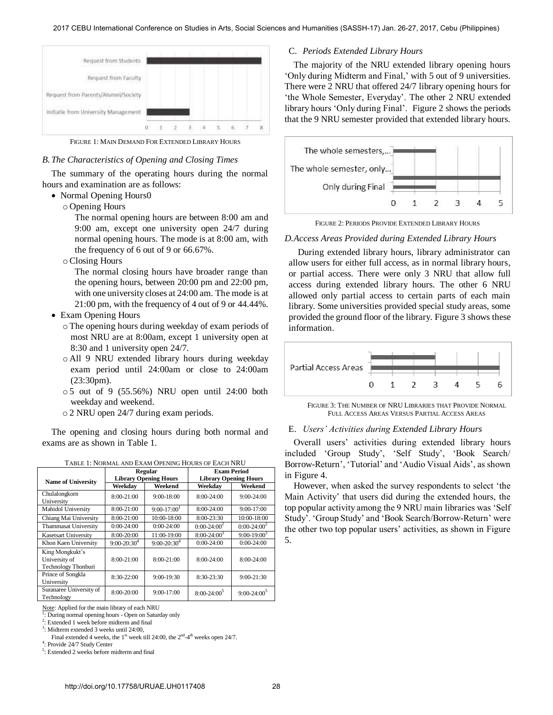

FIGURE 1: MAIN DEMAND FOR EXTENDED LIBRARY HOURS

## *B.The Characteristics of Opening and Closing Times*

The summary of the operating hours during the normal hours and examination are as follows:

- Normal Opening Hours0
	- o Opening Hours

The normal opening hours are between 8:00 am and 9:00 am, except one university open 24/7 during normal opening hours. The mode is at 8:00 am, with the frequency of 6 out of 9 or 66.67%.

oClosing Hours

The normal closing hours have broader range than the opening hours, between 20:00 pm and 22:00 pm, with one university closes at 24:00 am. The mode is at 21:00 pm, with the frequency of 4 out of 9 or 44.44%.

- Exam Opening Hours
	- o The opening hours during weekday of exam periods of most NRU are at 8:00am, except 1 university open at 8:30 and 1 university open 24/7.
	- o All 9 NRU extended library hours during weekday exam period until 24:00am or close to 24:00am (23:30pm).
	- o 5 out of 9 (55.56%) NRU open until 24:00 both weekday and weekend.
	- o 2 NRU open 24/7 during exam periods.

The opening and closing hours during both normal and exams are as shown in Table 1.

|                             | Regular                      |                  | <b>Exam Period</b>           |                  |
|-----------------------------|------------------------------|------------------|------------------------------|------------------|
| <b>Name of University</b>   | <b>Library Opening Hours</b> |                  | <b>Library Opening Hours</b> |                  |
|                             | Weekdav                      | Weekend          | Weekdav                      | Weekend          |
| Chulalongkorn               | $8:00-21:00$                 | $9:00-18:00$     | $8:00-24:00$                 | $9:00-24:00$     |
| University                  |                              |                  |                              |                  |
| Mahidol University          | 8:00-21:00                   | $9:00-17:001$    | 8:00-24:00                   | $9:00-17:00$     |
| Chiang Mai University       | 8:00-21:00                   | 10:00-18:00      | 8:00-23:30                   | 10:00-18:00      |
| <b>Thammasat University</b> | $0:00-24:00$                 | $0:00-24:00$     | $0:00-24:00^2$               | $0:00-24:00^2$   |
| <b>Kasetsart University</b> | 8:00-20:00                   | 11:00-19:00      | $8:00 - 24:00^3$             | $9:00 - 19:00^3$ |
| Khon Kaen University        | $9:00-20:30^{4}$             | $9:00-20:30^{4}$ | $0:00-24:00$                 | $0:00-24:00$     |
| King Mongkukt's             |                              |                  |                              |                  |
| University of               | $8:00-21:00$                 | 8:00-21:00       | $8:00-24:00$                 | $8:00-24:00$     |
| Technology Thonburi         |                              |                  |                              |                  |
| Prince of Songkla           | 8:30-22:00                   | 9:00-19:30       | 8:30-23:30                   | $9:00 - 21:30$   |
| University                  |                              |                  |                              |                  |
| Suranaree University of     | 8:00-20:00                   | $9:00-17:00$     | $8:00-24:00^5$               | $9:00-24:00^5$   |
| Technology                  |                              |                  |                              |                  |

|  |  | TABLE 1: NORMAL AND EXAM OPENING HOURS OF EACH NRU |
|--|--|----------------------------------------------------|

Note: Applied for the main library of each NRU

1 : During normal opening hours - Open on Saturday only

2 : Extended 1 week before midterm and final

3 : Midterm extended 3 weeks until 24:00,

Final extended 4 weeks, the 1<sup>st</sup> week till 24:00, the  $2<sup>nd</sup> - 4<sup>th</sup>$  weeks open 24/7.

4 : Provide 24/7 Study Center

<sup>5</sup>: Extended 2 weeks before midterm and final

#### C. *Periods Extended Library Hours*

The majority of the NRU extended library opening hours 'Only during Midterm and Final,' with 5 out of 9 universities. There were 2 NRU that offered 24/7 library opening hours for 'the Whole Semester, Everyday'. The other 2 NRU extended library hours 'Only during Final'. Figure 2 shows the periods that the 9 NRU semester provided that extended library hours.



FIGURE 2: PERIODS PROVIDE EXTENDED LIBRARY HOURS

## *D.Access Areas Provided during Extended Library Hours*

During extended library hours, library administrator can allow users for either full access, as in normal library hours, or partial access. There were only 3 NRU that allow full access during extended library hours. The other 6 NRU allowed only partial access to certain parts of each main library. Some universities provided special study areas, some provided the ground floor of the library. Figure 3 shows these information.



FIGURE 3: THE NUMBER OF NRU LIBRARIES THAT PROVIDE NORMAL FULL ACCESS AREAS VERSUS PARTIAL ACCESS AREAS

# E. *Users' Activities during Extended Library Hours*

Overall users' activities during extended library hours included 'Group Study', 'Self Study', 'Book Search/ Borrow-Return', 'Tutorial' and 'Audio Visual Aids', as shown in Figure 4.

However, when asked the survey respondents to select 'the Main Activity' that users did during the extended hours, the top popular activity among the 9 NRU main libraries was 'Self Study'. 'Group Study' and 'Book Search/Borrow-Return' were the other two top popular users' activities, as shown in Figure 5.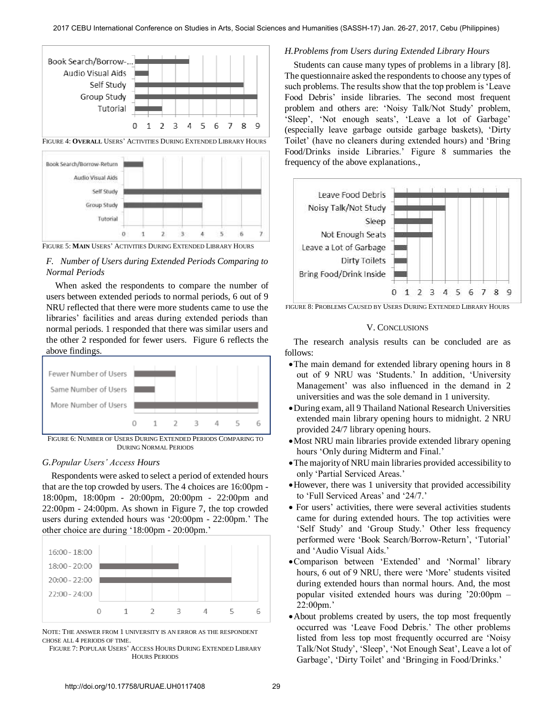

FIGURE 5: **MAIN** USERS' ACTIVITIES DURING EXTENDED LIBRARY HOURS

# *F. Number of Users during Extended Periods Comparing to Normal Periods*

When asked the respondents to compare the number of users between extended periods to normal periods, 6 out of 9 NRU reflected that there were more students came to use the libraries' facilities and areas during extended periods than normal periods. 1 responded that there was similar users and the other 2 responded for fewer users. Figure 6 reflects the above findings.



FIGURE 6: NUMBER OF USERS DURING EXTENDED PERIODS COMPARING TO DURING NORMAL PERIODS

#### *G.Popular Users' Access Hours*

Respondents were asked to select a period of extended hours that are the top crowded by users. The 4 choices are 16:00pm - 18:00pm, 18:00pm - 20:00pm, 20:00pm - 22:00pm and 22:00pm - 24:00pm. As shown in Figure 7, the top crowded users during extended hours was '20:00pm - 22:00pm.' The other choice are during '18:00pm - 20:00pm.'



NOTE: THE ANSWER FROM 1 UNIVERSITY IS AN ERROR AS THE RESPONDENT CHOSE ALL 4 PERIODS OF TIME.

FIGURE 7: POPULAR USERS' ACCESS HOURS DURING EXTENDED LIBRARY HOURS PERIODS

#### *H.Problems from Users during Extended Library Hours*

Students can cause many types of problems in a library [8]. The questionnaire asked the respondents to choose any types of such problems. The results show that the top problem is 'Leave Food Debris' inside libraries. The second most frequent problem and others are: 'Noisy Talk/Not Study' problem, 'Sleep', 'Not enough seats', 'Leave a lot of Garbage' (especially leave garbage outside garbage baskets), 'Dirty Toilet' (have no cleaners during extended hours) and 'Bring Food/Drinks inside Libraries.' Figure 8 summaries the frequency of the above explanations.,



FIGURE 8: PROBLEMS CAUSED BY USERS DURING EXTENDED LIBRARY HOURS

#### V. CONCLUSIONS

The research analysis results can be concluded are as follows:

- The main demand for extended library opening hours in 8 out of 9 NRU was 'Students.' In addition, 'University Management' was also influenced in the demand in 2 universities and was the sole demand in 1 university.
- During exam, all 9 Thailand National Research Universities extended main library opening hours to midnight. 2 NRU provided 24/7 library opening hours.
- Most NRU main libraries provide extended library opening hours 'Only during Midterm and Final.'
- The majority of NRU main libraries provided accessibility to only 'Partial Serviced Areas.'
- However, there was 1 university that provided accessibility to 'Full Serviced Areas' and '24/7.'
- For users' activities, there were several activities students came for during extended hours. The top activities were 'Self Study' and 'Group Study.' Other less frequency performed were 'Book Search/Borrow-Return', 'Tutorial' and 'Audio Visual Aids.'
- Comparison between 'Extended' and 'Normal' library hours, 6 out of 9 NRU, there were 'More' students visited during extended hours than normal hours. And, the most popular visited extended hours was during '20:00pm – 22:00pm.'
- About problems created by users, the top most frequently occurred was 'Leave Food Debris.' The other problems listed from less top most frequently occurred are 'Noisy Talk/Not Study', 'Sleep', 'Not Enough Seat', Leave a lot of Garbage', 'Dirty Toilet' and 'Bringing in Food/Drinks.'